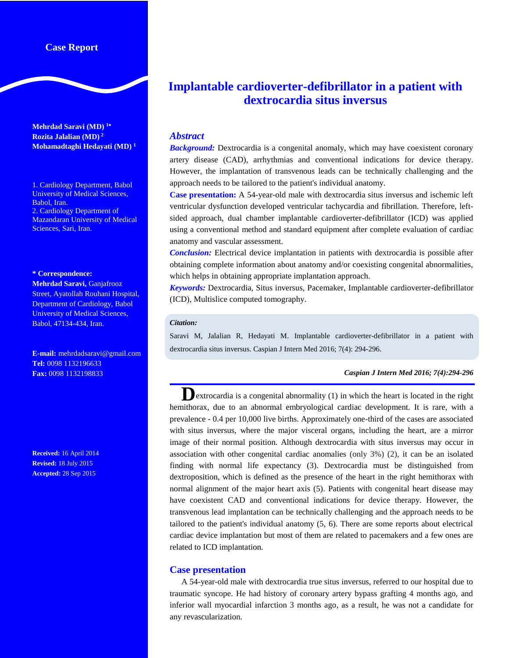## **Case Report**

**Mehrdad Saravi (MD) <sup>1</sup> Rozita Jalalian (MD) 2 Mohamadtaghi Hedayati (MD) <sup>1</sup>**

1. Cardiology Department, Babol University of Medical Sciences, Babol, Iran. 2. Cardiology Department of Mazandaran University of Medical Sciences, Sari, Iran.

#### **\* Correspondence:**

**Mehrdad Saravi,** Ganjafrooz Street, Ayatollah Rouhani Hospital, Department of Cardiology, Babol University of Medical Sciences, Babol, 47134-434, Iran.

**E-mail:** mehrdadsaravi@gmail.com **Tel:** 0098 1132196633 **Fax:** 0098 1132198833

**Received:** 16 April 2014 **Revised:** 18 July 2015 **Accepted:** 28 Sep 2015

# **Implantable cardioverter-defibrillator in a patient with dextrocardia situs inversus**

### *Abstract*

*Background:* Dextrocardia is a congenital anomaly, which may have coexistent coronary artery disease (CAD), arrhythmias and conventional indications for device therapy. However, the implantation of transvenous leads can be technically challenging and the approach needs to be tailored to the patient's individual anatomy.

**Case presentation:** A 54-year-old male with dextrocardia situs inversus and ischemic left ventricular dysfunction developed ventricular tachycardia and fibrillation. Therefore, leftsided approach, dual chamber implantable cardioverter-defibrillator (ICD) was applied using a conventional method and standard equipment after complete evaluation of cardiac anatomy and vascular assessment.

*Conclusion:* Electrical device implantation in patients with dextrocardia is possible after obtaining complete information about anatomy and/or coexisting congenital abnormalities, which helps in obtaining appropriate implantation approach.

*Keywords:* Dextrocardia, Situs inversus, Pacemaker, Implantable cardioverter-defibrillator (ICD), Multislice computed tomography.

#### *Citation:*

Saravi M, Jalalian R, Hedayati M. Implantable cardioverter-defibrillator in a patient with dextrocardia situs inversus. Caspian J Intern Med 2016; 7(4): 294-296.

#### *Caspian J Intern Med 2016; 7(4):294-296*

**D**extrocardia is a congenital abnormality (1) in which the heart is located in the right hemithorax, due to an abnormal embryological cardiac development. It is rare, with a prevalence - 0.4 per 10,000 live births. Approximately one-third of the cases are associated with situs inversus, where the major visceral organs, including the heart, are a mirror image of their normal position. Although dextrocardia with situs inversus may occur in association with other congenital cardiac anomalies (only 3%) (2), it can be an isolated finding with normal life expectancy (3). Dextrocardia must be distinguished from dextroposition, which is defined as the presence of the heart in the right hemithorax with normal alignment of the major heart axis (5). Patients with congenital heart disease may have coexistent CAD and conventional indications for device therapy. However, the transvenous lead implantation can be technically challenging and the approach needs to be tailored to the patient's individual anatomy (5, 6). There are some reports about electrical cardiac device implantation but most of them are related to pacemakers and a few ones are related to ICD implantation.

#### **Case presentation**

A 54-year-old male with dextrocardia true situs inversus, referred to our hospital due to traumatic syncope. He had history of coronary artery bypass grafting 4 months ago, and inferior wall myocardial infarction 3 months ago, as a result, he was not a candidate for any revascularization.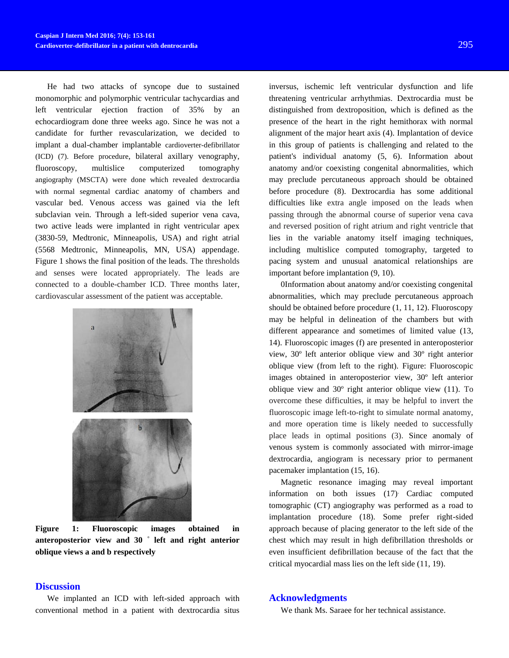He had two attacks of syncope due to sustained monomorphic and polymorphic ventricular tachycardias and left ventricular ejection fraction of 35% by an echocardiogram done three weeks ago. Since he was not a candidate for further revascularization, we decided to implant a dual-chamber implantable cardioverter-defibrillator (ICD) (7). Before procedure, bilateral axillary venography, fluoroscopy, multislice computerized tomography angiography (MSCTA) were done which revealed dextrocardia with normal segmental cardiac anatomy of chambers and vascular bed. Venous access was gained via the left subclavian vein. Through a left-sided superior vena cava, two active leads were implanted in right ventricular apex (3830-59, Medtronic, Minneapolis, USA) and right atrial (5568 Medtronic, Minneapolis, MN, USA) appendage. Figure 1 shows the final position of the leads. The thresholds and senses were located appropriately. The leads are connected to a double-chamber ICD. Three months later, cardiovascular assessment of the patient was acceptable.



**Figure 1: Fluoroscopic images obtained in anteroposterior view and 30 ° left and right anterior oblique views a and b respectively**

## inversus, ischemic left ventricular dysfunction and life threatening ventricular arrhythmias. Dextrocardia must be distinguished from dextroposition, which is defined as the presence of the heart in the right hemithorax with normal alignment of the major heart axis (4). Implantation of device in this group of patients is challenging and related to the patient's individual anatomy (5, 6). Information about anatomy and/or coexisting congenital abnormalities, which may preclude percutaneous approach should be obtained before procedure (8). Dextrocardia has some additional difficulties like extra angle imposed on the leads when passing through the abnormal course of superior vena cava and reversed position of right atrium and right ventricle that lies in the variable anatomy itself imaging techniques, including multislice computed tomography, targeted to pacing system and unusual anatomical relationships are important before implantation (9, 10).

0Information about anatomy and/or coexisting congenital abnormalities, which may preclude percutaneous approach should be obtained before procedure (1, 11, 12). Fluoroscopy may be helpful in delineation of the chambers but with different appearance and sometimes of limited value (13, 14). Fluoroscopic images (f) are presented in anteroposterior view, 30º left anterior oblique view and 30º right anterior oblique view (from left to the right). Figure: Fluoroscopic images obtained in anteroposterior view, 30º left anterior oblique view and 30º right anterior oblique view (11). To overcome these difficulties, it may be helpful to invert the fluoroscopic image left-to-right to simulate normal anatomy, and more operation time is likely needed to successfully place leads in optimal positions (3). Since anomaly of venous system is commonly associated with mirror-image dextrocardia, angiogram is necessary prior to permanent pacemaker implantation (15, 16).

Magnetic resonance imaging may reveal important information on both issues (17). Cardiac computed tomographic (CT) angiography was performed as a road to implantation procedure (18). Some prefer right-sided approach because of placing generator to the left side of the chest which may result in high defibrillation thresholds or even insufficient defibrillation because of the fact that the critical myocardial mass lies on the left side (11, 19).

## **Discussion**

We implanted an ICD with left-sided approach with conventional method in a patient with dextrocardia situs

#### **Acknowledgments**

We thank Ms. Saraee for her technical assistance.